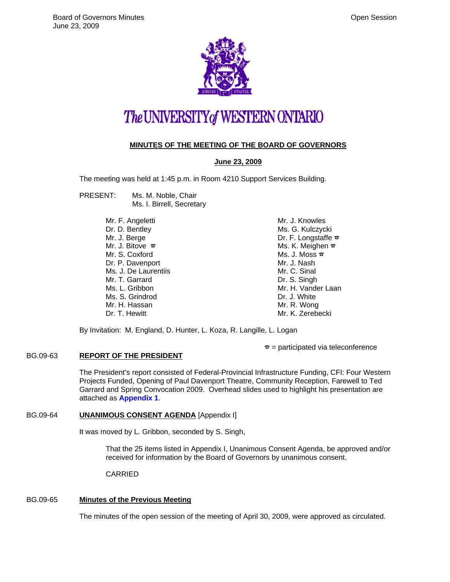

# The UNIVERSITY of WESTERN ONTARIO

# **MINUTES OF THE MEETING OF THE BOARD OF GOVERNORS**

# **June 23, 2009**

The meeting was held at 1:45 p.m. in Room 4210 Support Services Building.

- PRESENT: Ms. M. Noble, Chair Ms. I. Birrell, Secretary
	- Mr. F. Angeletti Dr. D. Bentley Mr. J. Berge Mr. J. Bitove  $\pi$ Mr. S. Coxford Dr. P. Davenport Ms. J. De Laurentiis Mr. T. Garrard Ms. L. Gribbon Ms. S. Grindrod Mr. H. Hassan Dr. T. Hewitt

Mr. J. Knowles Ms. G. Kulczycki Dr. F. Longstaffe  $\mathbf{\Phi}$ Ms. K. Meighen  $\bar{x}$ Ms. J. Moss  $\bar{x}$ Mr. J. Nash Mr. C. Sinal Dr. S. Singh Mr. H. Vander Laan Dr. J. White Mr. R. Wong Mr. K. Zerebecki

By Invitation: M. England, D. Hunter, L. Koza, R. Langille, L. Logan

 $\tau$  = participated via teleconference

# BG.09-63 **REPORT OF THE PRESIDENT**

The President's report consisted of Federal-Provincial Infrastructure Funding, CFI: Four Western Projects Funded, Opening of Paul Davenport Theatre, Community Reception, Farewell to Ted Garrard and Spring Convocation 2009. Overhead slides used to highlight his presentation are attached as **[Appendix 1](#page-5-0)**.

# BG.09-64 **UNANIMOUS CONSENT AGENDA** [Appendix I]

It was moved by L. Gribbon, seconded by S. Singh,

That the 25 items listed in Appendix I, Unanimous Consent Agenda, be approved and/or received for information by the Board of Governors by unanimous consent.

CARRIED

# BG.09-65 **Minutes of the Previous Meeting**

The minutes of the open session of the meeting of April 30, 2009, were approved as circulated.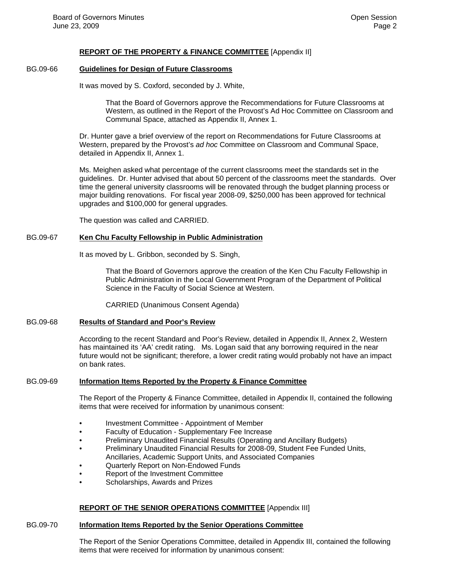#### **REPORT OF THE PROPERTY & FINANCE COMMITTEE** [Appendix II]

### BG.09-66 **Guidelines for Design of Future Classrooms**

It was moved by S. Coxford, seconded by J. White,

That the Board of Governors approve the Recommendations for Future Classrooms at Western, as outlined in the Report of the Provost's Ad Hoc Committee on Classroom and Communal Space, attached as Appendix II, Annex 1.

Dr. Hunter gave a brief overview of the report on Recommendations for Future Classrooms at Western, prepared by the Provost's *ad hoc* Committee on Classroom and Communal Space, detailed in Appendix II, Annex 1.

Ms. Meighen asked what percentage of the current classrooms meet the standards set in the guidelines. Dr. Hunter advised that about 50 percent of the classrooms meet the standards. Over time the general university classrooms will be renovated through the budget planning process or major building renovations. For fiscal year 2008-09, \$250,000 has been approved for technical upgrades and \$100,000 for general upgrades.

The question was called and CARRIED.

#### BG.09-67 **Ken Chu Faculty Fellowship in Public Administration**

It as moved by L. Gribbon, seconded by S. Singh,

That the Board of Governors approve the creation of the Ken Chu Faculty Fellowship in Public Administration in the Local Government Program of the Department of Political Science in the Faculty of Social Science at Western.

CARRIED (Unanimous Consent Agenda)

#### BG.09-68 **Results of Standard and Poor's Review**

According to the recent Standard and Poor's Review, detailed in Appendix II, Annex 2, Western has maintained its 'AA' credit rating. Ms. Logan said that any borrowing required in the near future would not be significant; therefore, a lower credit rating would probably not have an impact on bank rates.

#### BG.09-69 **Information Items Reported by the Property & Finance Committee**

The Report of the Property & Finance Committee, detailed in Appendix II, contained the following items that were received for information by unanimous consent:

- Investment Committee Appointment of Member
- Faculty of Education Supplementary Fee Increase
- Preliminary Unaudited Financial Results (Operating and Ancillary Budgets)
- Preliminary Unaudited Financial Results for 2008-09, Student Fee Funded Units, Ancillaries, Academic Support Units, and Associated Companies
- Quarterly Report on Non-Endowed Funds
- Report of the Investment Committee
- Scholarships, Awards and Prizes

#### **REPORT OF THE SENIOR OPERATIONS COMMITTEE** [Appendix III]

#### BG.09-70 **Information Items Reported by the Senior Operations Committee**

The Report of the Senior Operations Committee, detailed in Appendix III, contained the following items that were received for information by unanimous consent: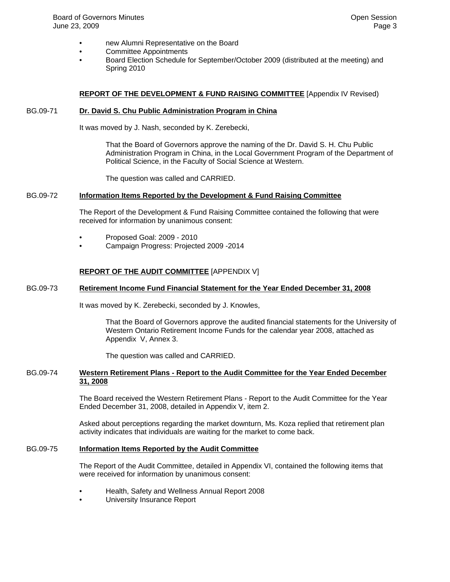- new Alumni Representative on the Board
- Committee Appointments
- Board Election Schedule for September/October 2009 (distributed at the meeting) and Spring 2010

#### **REPORT OF THE DEVELOPMENT & FUND RAISING COMMITTEE** [Appendix IV Revised)

#### BG.09-71 **Dr. David S. Chu Public Administration Program in China**

It was moved by J. Nash, seconded by K. Zerebecki,

That the Board of Governors approve the naming of the Dr. David S. H. Chu Public Administration Program in China, in the Local Government Program of the Department of Political Science, in the Faculty of Social Science at Western.

The question was called and CARRIED.

#### BG.09-72 **Information Items Reported by the Development & Fund Raising Committee**

The Report of the Development & Fund Raising Committee contained the following that were received for information by unanimous consent:

- Proposed Goal: 2009 2010
- Campaign Progress: Projected 2009 -2014

#### **REPORT OF THE AUDIT COMMITTEE** [APPENDIX V]

#### BG.09-73 **Retirement Income Fund Financial Statement for the Year Ended December 31, 2008**

It was moved by K. Zerebecki, seconded by J. Knowles,

That the Board of Governors approve the audited financial statements for the University of Western Ontario Retirement Income Funds for the calendar year 2008, attached as Appendix V, Annex 3.

The question was called and CARRIED.

#### BG.09-74 **Western Retirement Plans - Report to the Audit Committee for the Year Ended December 31, 2008**

The Board received the Western Retirement Plans - Report to the Audit Committee for the Year Ended December 31, 2008, detailed in Appendix V, item 2.

Asked about perceptions regarding the market downturn, Ms. Koza replied that retirement plan activity indicates that individuals are waiting for the market to come back.

#### BG.09-75 **Information Items Reported by the Audit Committee**

The Report of the Audit Committee, detailed in Appendix VI, contained the following items that were received for information by unanimous consent:

- Health, Safety and Wellness Annual Report 2008
- University Insurance Report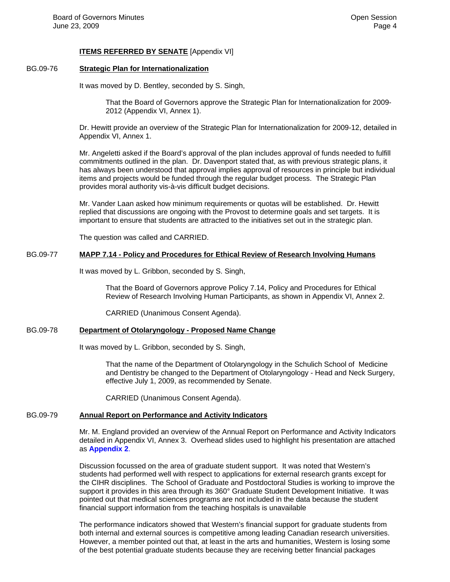#### **ITEMS REFERRED BY SENATE** [Appendix VI]

# BG.09-76 **Strategic Plan for Internationalization**

It was moved by D. Bentley, seconded by S. Singh,

That the Board of Governors approve the Strategic Plan for Internationalization for 2009- 2012 (Appendix VI, Annex 1).

Dr. Hewitt provide an overview of the Strategic Plan for Internationalization for 2009-12, detailed in Appendix VI, Annex 1.

Mr. Angeletti asked if the Board's approval of the plan includes approval of funds needed to fulfill commitments outlined in the plan. Dr. Davenport stated that, as with previous strategic plans, it has always been understood that approval implies approval of resources in principle but individual items and projects would be funded through the regular budget process. The Strategic Plan provides moral authority vis-à-vis difficult budget decisions.

Mr. Vander Laan asked how minimum requirements or quotas will be established. Dr. Hewitt replied that discussions are ongoing with the Provost to determine goals and set targets. It is important to ensure that students are attracted to the initiatives set out in the strategic plan.

The question was called and CARRIED.

# BG.09-77 **MAPP 7.14 - Policy and Procedures for Ethical Review of Research Involving Humans**

It was moved by L. Gribbon, seconded by S. Singh,

That the Board of Governors approve Policy 7.14, Policy and Procedures for Ethical Review of Research Involving Human Participants, as shown in Appendix VI, Annex 2.

CARRIED (Unanimous Consent Agenda).

# BG.09-78 **Department of Otolaryngology - Proposed Name Change**

It was moved by L. Gribbon, seconded by S. Singh,

That the name of the Department of Otolaryngology in the Schulich School of Medicine and Dentistry be changed to the Department of Otolaryngology - Head and Neck Surgery, effective July 1, 2009, as recommended by Senate.

CARRIED (Unanimous Consent Agenda).

# BG.09-79 **Annual Report on Performance and Activity Indicators**

Mr. M. England provided an overview of the Annual Report on Performance and Activity Indicators detailed in Appendix VI, Annex 3. Overhead slides used to highlight his presentation are attached as **[Appendix 2](#page-7-0)**.

Discussion focussed on the area of graduate student support. It was noted that Western's students had performed well with respect to applications for external research grants except for the CIHR disciplines. The School of Graduate and Postdoctoral Studies is working to improve the support it provides in this area through its 360° Graduate Student Development Initiative. It was pointed out that medical sciences programs are not included in the data because the student financial support information from the teaching hospitals is unavailable

The performance indicators showed that Western's financial support for graduate students from both internal and external sources is competitive among leading Canadian research universities. However, a member pointed out that, at least in the arts and humanities, Western is losing some of the best potential graduate students because they are receiving better financial packages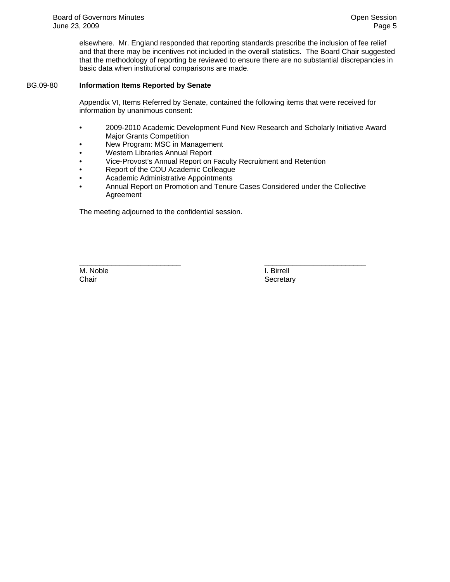elsewhere. Mr. England responded that reporting standards prescribe the inclusion of fee relief and that there may be incentives not included in the overall statistics. The Board Chair suggested that the methodology of reporting be reviewed to ensure there are no substantial discrepancies in basic data when institutional comparisons are made.

#### BG.09-80 **Information Items Reported by Senate**

Appendix VI, Items Referred by Senate, contained the following items that were received for information by unanimous consent:

- 2009-2010 Academic Development Fund New Research and Scholarly Initiative Award Major Grants Competition
- New Program: MSC in Management
- Western Libraries Annual Report
- Vice-Provost's Annual Report on Faculty Recruitment and Retention
- Report of the COU Academic Colleague
- Academic Administrative Appointments
- Annual Report on Promotion and Tenure Cases Considered under the Collective Agreement

The meeting adjourned to the confidential session.

\_\_\_\_\_\_\_\_\_\_\_\_\_\_\_\_\_\_\_\_\_\_\_\_\_ \_\_\_\_\_\_\_\_\_\_\_\_\_\_\_\_\_\_\_\_\_\_\_\_\_ M. Noble **I. Birrell** Chair Secretary Secretary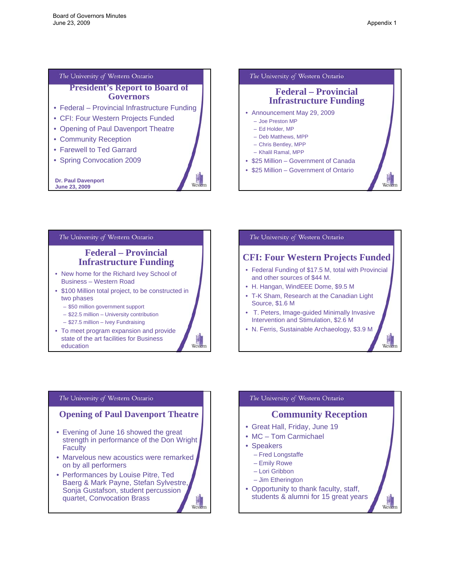#### <span id="page-5-0"></span>The University of Western Ontario

**President's Report to Board of Governors**

Wester

Western

- Federal Provincial Infrastructure Funding
- CFI: Four Western Projects Funded
- Opening of Paul Davenport Theatre
- Community Reception
- Farewell to Ted Garrard
- Spring Convocation 2009

**Dr. Paul Davenport June 23, 2009**



# The University of Western Ontario **Federal – Provincial Infrastructure Funding**  • New home for the Richard Ivey School of Business – Western Road • \$100 Million total project, to be constructed in two phases

- \$50 million government support
- \$22.5 million University contribution
- \$27.5 million Ivey Fundraising
- 
- To meet program expansion and provide state of the art facilities for Business education

# The University of Western Ontario **CFI: Four Western Projects Funded**  • Federal Funding of \$17.5 M, total with Provincial and other sources of \$44 M. • H. Hangan, WindEEE Dome, \$9.5 M • T-K Sham, Research at the Canadian Light Source, \$1.6 M • T. Peters, Image-guided Minimally Invasive Intervention and Stimulation, \$2.6 M • N. Ferris, Sustainable Archaeology, \$3.9 M West

#### The University of Western Ontario

#### **Opening of Paul Davenport Theatre**

- Evening of June 16 showed the great strength in performance of the Don Wright **Faculty**
- Marvelous new acoustics were remarked on by all performers
- Performances by Louise Pitre, Ted Baerg & Mark Payne, Stefan Sylvestre, Sonja Gustafson, student percussion quartet, Convocation Brass Western

# The University of Western Ontario **Community Reception** • Great Hall, Friday, June 19 • MC – Tom Carmichael • Speakers – Fred Longstaffe – Emily Rowe – Lori Gribbon – Jim Etherington

West

• Opportunity to thank faculty, staff, students & alumni for 15 great years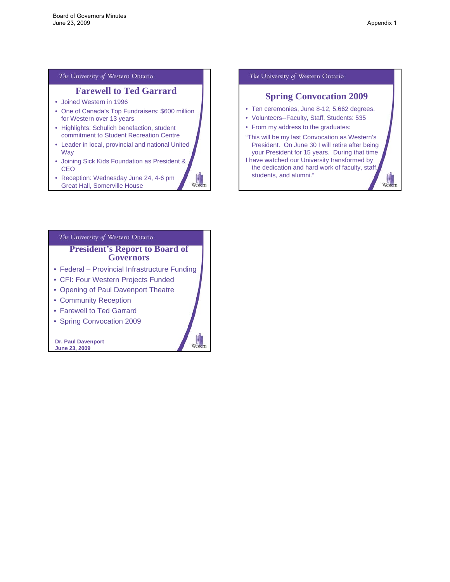Weste

#### The University of Western Ontario

# **Farewell to Ted Garrard**

- Joined Western in 1996
- One of Canada's Top Fundraisers: \$600 million for Western over 13 years
- Highlights: Schulich benefaction, student commitment to Student Recreation Centre
- Leader in local, provincial and national United Way
- Joining Sick Kids Foundation as President & CEO
- Reception: Wednesday June 24, 4-6 pm Great Hall, Somerville House

#### The University of Western Ontario

## **Spring Convocation 2009**

- Ten ceremonies, June 8-12, 5,662 degrees.
- Volunteers--Faculty, Staff, Students: 535
- From my address to the graduates:
- "This will be my last Convocation as Western's President. On June 30 I will retire after being your President for 15 years. During that time I have watched our University transformed by
- the dedication and hard work of faculty, staff, students, and alumni."

# The University of Western Ontario **President's Report to Board of Governors**

- Federal Provincial Infrastructure Funding
- CFI: Four Western Projects Funded
- Opening of Paul Davenport Theatre
- Community Reception
- Farewell to Ted Garrard
- Spring Convocation 2009

**Dr. Paul Davenport June 23, 2009**



Western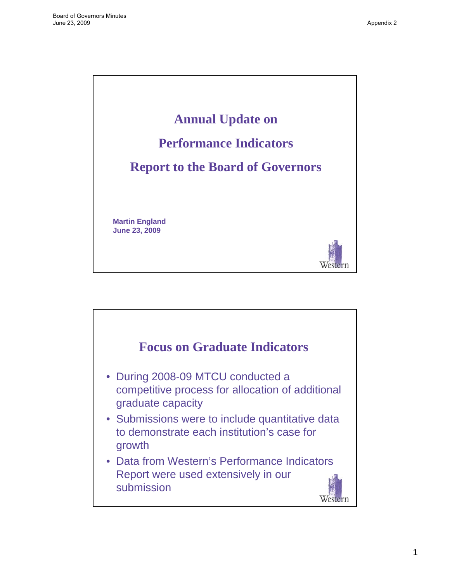<span id="page-7-0"></span>

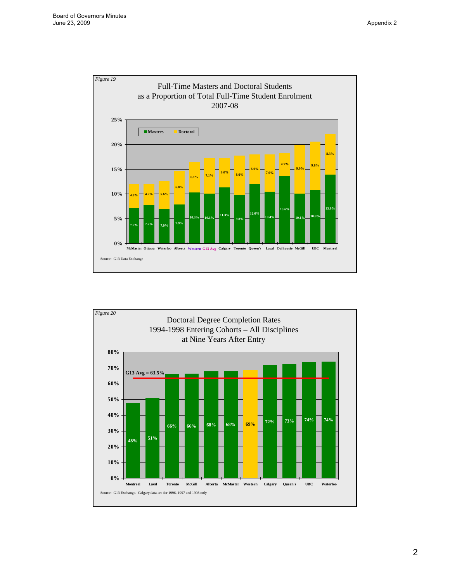

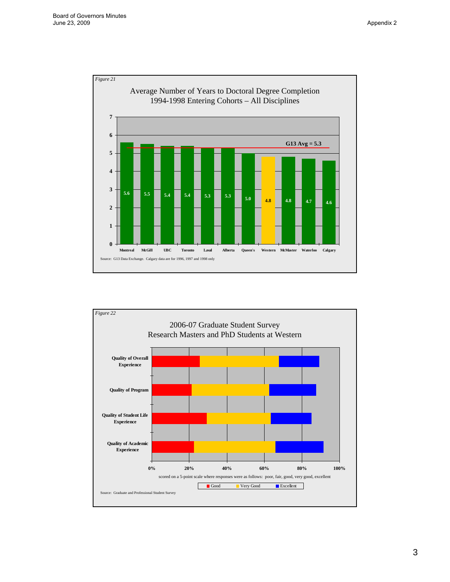

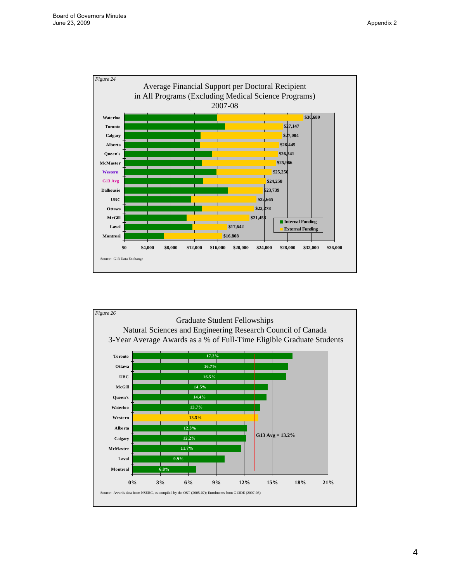

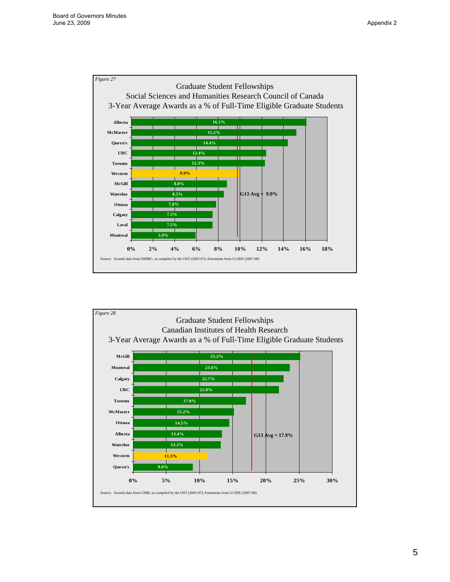